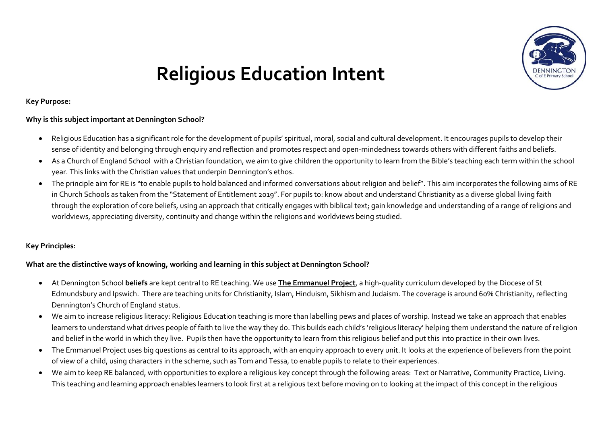

# **Religious Education Intent**

**Key Purpose:**

#### **Why is this subject important at Dennington School?**

- Religious Education has a significant role for the development of pupils' spiritual, moral, social and cultural development. It encourages pupils to develop their sense of identity and belonging through enquiry and reflection and promotes respect and open-mindedness towards others with different faiths and beliefs.
- As a Church of England School with a Christian foundation, we aim to give children the opportunity to learn from the Bible's teaching each term within the school year. This links with the Christian values that underpin Dennington's ethos.
- The principle aim for RE is "to enable pupils to hold balanced and informed conversations about religion and belief". This aim incorporates the following aims of RE in Church Schools as taken from the "Statement of Entitlement 2019". For pupils to: know about and understand Christianity as a diverse global living faith through the exploration of core beliefs, using an approach that critically engages with biblical text; gain knowledge and understanding of a range of religions and worldviews, appreciating diversity, continuity and change within the religions and worldviews being studied.

# **Key Principles:**

# **What are the distinctive ways of knowing, working and learning in this subject at Dennington School?**

- At Dennington School **beliefs** are kept central to RE teaching. We use **The Emmanuel Project**, a high-quality curriculum developed by the Diocese of St Edmundsbury and Ipswich. There are teaching units for Christianity, Islam, Hinduism, Sikhism and Judaism. The coverage is around 60% Christianity, reflecting Dennington's Church of England status.
- We aim to increase religious literacy: Religious Education teaching is more than labelling pews and places of worship. Instead we take an approach that enables learners to understand what drives people of faith to live the way they do. This builds each child's 'religious literacy' helping them understand the nature of religion and belief in the world in which they live. Pupils then have the opportunity to learn from this religious belief and put this into practice in their own lives.
- The Emmanuel Project uses big questions as central to its approach, with an enquiry approach to every unit. It looks at the experience of believers from the point of view of a child, using characters in the scheme, such as Tom and Tessa, to enable pupils to relate to their experiences.
- We aim to keep RE balanced, with opportunities to explore a religious key concept through the following areas: Text or Narrative, Community Practice, Living. This teaching and learning approach enables learners to look first at a religious text before moving on to looking at the impact of this concept in the religious